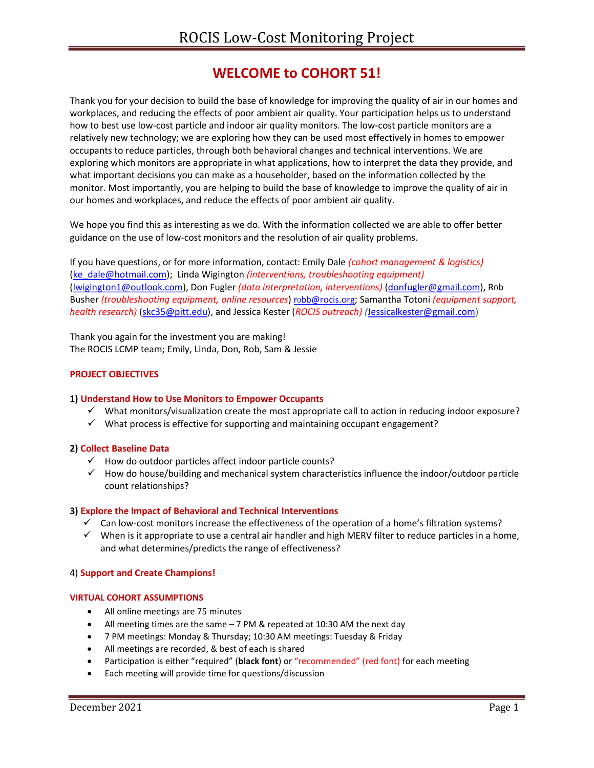# WELCOME to COHORT 51!

Thank you for your decision to build the base of knowledge for improving the quality of air in our homes and workplaces, and reducing the effects of poor ambient air quality. Your participation helps us to understand how to best use low-cost particle and indoor air quality monitors. The low-cost particle monitors are a relatively new technology; we are exploring how they can be used most effectively in homes to empower occupants to reduce particles, through both behavioral changes and technical interventions. We are exploring which monitors are appropriate in what applications, how to interpret the data they provide, and what important decisions you can make as a householder, based on the information collected by the monitor. Most importantly, you are helping to build the base of knowledge to improve the quality of air in our homes and workplaces, and reduce the effects of poor ambient air quality.

We hope you find this as interesting as we do. With the information collected we are able to offer better guidance on the use of low-cost monitors and the resolution of air quality problems.

If you have questions, or for more information, contact: Emily Dale (cohort management & logistics) (ke\_dale@hotmail.com); Linda Wigington (interventions, troubleshooting equipment) (lwigington1@outlook.com), Don Fugler (data interpretation, interventions) (donfugler@gmail.com), R0b Busher (troubleshooting equipment, online resources) robb@rocis.org; Samantha Totoni (equipment support, health research) (skc35@pitt.edu), and Jessica Kester (ROCIS outreach) (Jessicalkester@gmail.com)

Thank you again for the investment you are making! The ROCIS LCMP team; Emily, Linda, Don, Rob, Sam & Jessie

## PROJECT OBJECTIVES

## 1) Understand How to Use Monitors to Empower Occupants

- $\checkmark$  What monitors/visualization create the most appropriate call to action in reducing indoor exposure?
- $\checkmark$  What process is effective for supporting and maintaining occupant engagement?

## 2) Collect Baseline Data

- $\checkmark$  How do outdoor particles affect indoor particle counts?
- $\checkmark$  How do house/building and mechanical system characteristics influence the indoor/outdoor particle count relationships?

## 3) Explore the Impact of Behavioral and Technical Interventions

- $\checkmark$  Can low-cost monitors increase the effectiveness of the operation of a home's filtration systems?
- $\checkmark$  When is it appropriate to use a central air handler and high MERV filter to reduce particles in a home, and what determines/predicts the range of effectiveness?

## 4) Support and Create Champions!

## VIRTUAL COHORT ASSUMPTIONS

- All online meetings are 75 minutes
- All meeting times are the same 7 PM & repeated at 10:30 AM the next day
- 7 PM meetings: Monday & Thursday; 10:30 AM meetings: Tuesday & Friday
- All meetings are recorded, & best of each is shared
- Participation is either "required" (black font) or "recommended" (red font) for each meeting
- Each meeting will provide time for questions/discussion